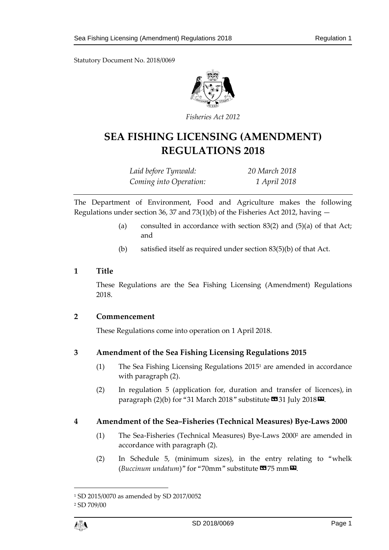Statutory Document No. 2018/0069



*Fisheries Act 2012*

# **SEA FISHING LICENSING (AMENDMENT) REGULATIONS 2018**

*Laid before Tynwald: 20 March 2018 Coming into Operation: 1 April 2018*

The Department of Environment, Food and Agriculture makes the following Regulations under section 36, 37 and 73(1)(b) of the Fisheries Act 2012, having  $-$ 

- (a) consulted in accordance with section  $83(2)$  and  $(5)(a)$  of that Act; and
- (b) satisfied itself as required under section 83(5)(b) of that Act.

#### **1 Title**

These Regulations are the Sea Fishing Licensing (Amendment) Regulations 2018.

### **2 Commencement**

These Regulations come into operation on 1 April 2018.

### **3 Amendment of the Sea Fishing Licensing Regulations 2015**

- (1) The Sea Fishing Licensing Regulations 2015<sup>1</sup> are amended in accordance with paragraph (2).
- (2) In regulation 5 (application for, duration and transfer of licences), in paragraph (2)(b) for "31 March 2018" substitute  $\text{C331 July 2018}$ .

### **4 Amendment of the Sea–Fisheries (Technical Measures) Bye-Laws 2000**

- (1) The Sea-Fisheries (Technical Measures) Bye-Laws 2000<sup>2</sup> are amended in accordance with paragraph (2).
- (2) In Schedule 5, (minimum sizes), in the entry relating to "whelk (*Buccinum undatum*)" for "70mm" substitute **13**75 mm **D**.

 $\overline{a}$ 

<sup>1</sup> SD 2015/0070 as amended by SD 2017/0052

<sup>2</sup> SD 709/00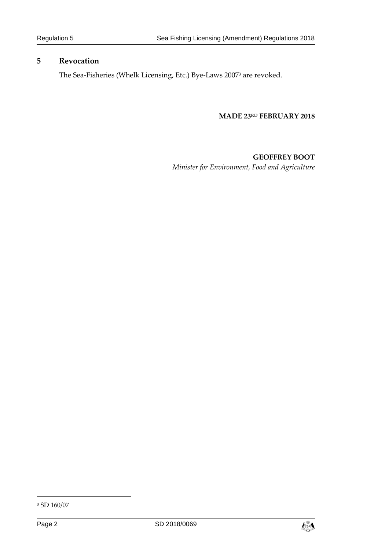#### **5 Revocation**

The Sea-Fisheries (Whelk Licensing, Etc.) Bye-Laws 2007<sup>3</sup> are revoked.

#### **MADE 23RD FEBRUARY 2018**

### **GEOFFREY BOOT**

*Minister for Environment, Food and Agriculture*

-



<sup>3</sup> SD 160/07